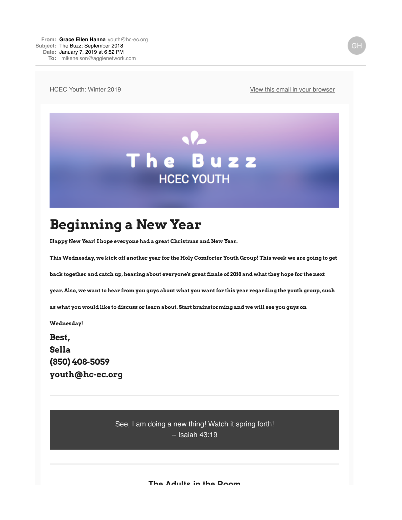HCEC Youth: Winter 2019 **[View this email in your browser](https://mailchi.mp/7025b7eca668/the-buzz-september-402611?e=d9e9e3a128)** 



## **Beginning a New Year**

**Happy New Year! I hope everyone had a great Christmas and New Year.** 

**This Wednesday, we kick off another year for the Holy Comforter Youth Group! This week we are going to get**

**back together and catch up, hearing about everyone's great finale of 2018 and what they hope for the next**

**year. Also, we want to hear from you guys about what you want for this year regarding the youth group, such**

**as what you would like to discuss or learn about. Start brainstorming and we will see you guys on**

**Wednesday!** 

**Best, Sella (850) 408-5059 youth@hc-ec.org**

> See, I am doing a new thing! Watch it spring forth! -- Isaiah 43:19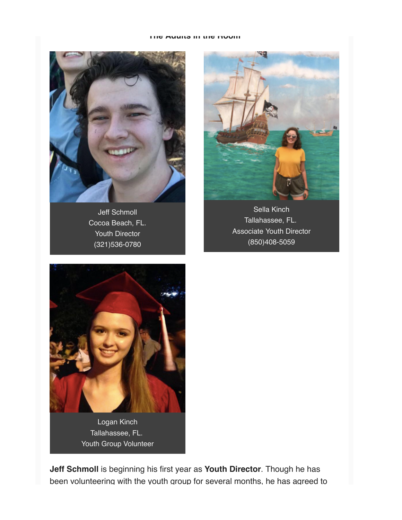## **The Adults in the Room**



Jeff Schmoll Cocoa Beach, FL. Youth Director (321)536-0780



Sella Kinch Tallahassee, FL. Associate Youth Director (850)408-5059



Tallahassee, FL. Youth Group Volunteer

**Jeff Schmoll** is beginning his first year as **Youth Director**. Though he has been volunteering with the youth group for several months, he has agreed to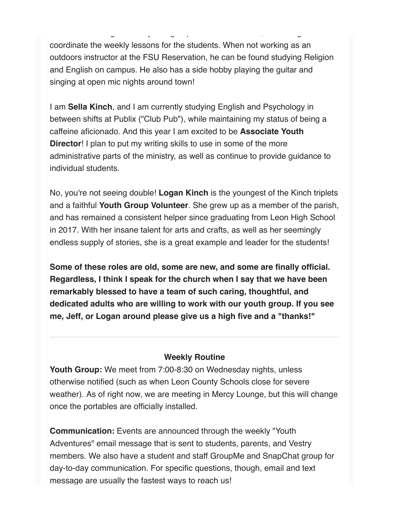been volunteering with the youth group for several months, he has agreed to coordinate the weekly lessons for the students. When not working as an outdoors instructor at the FSU Reservation, he can be found studying Religion and English on campus. He also has a side hobby playing the guitar and singing at open mic nights around town!

I am **Sella Kinch**, and I am currently studying English and Psychology in between shifts at Publix ("Club Pub"), while maintaining my status of being a caffeine aficionado. And this year I am excited to be **Associate Youth Director!** I plan to put my writing skills to use in some of the more administrative parts of the ministry, as well as continue to provide guidance to individual students.

No, you're not seeing double! **Logan Kinch** is the youngest of the Kinch triplets and a faithful **Youth Group Volunteer**. She grew up as a member of the parish, and has remained a consistent helper since graduating from Leon High School in 2017. With her insane talent for arts and crafts, as well as her seemingly endless supply of stories, she is a great example and leader for the students!

**Some of these roles are old, some are new, and some are finally official. Regardless, I think I speak for the church when I say that we have been remarkably blessed to have a team of such caring, thoughtful, and dedicated adults who are willing to work with our youth group. If you see me, Jeff, or Logan around please give us a high five and a "thanks!"** 

## **Weekly Routine**

**Youth Group:** We meet from 7:00-8:30 on Wednesday nights, unless otherwise notified (such as when Leon County Schools close for severe weather). As of right now, we are meeting in Mercy Lounge, but this will change once the portables are officially installed.

**Communication:** Events are announced through the weekly "Youth Adventures" email message that is sent to students, parents, and Vestry members. We also have a student and staff GroupMe and SnapChat group for day-to-day communication. For specific questions, though, email and text message are usually the fastest ways to reach us!